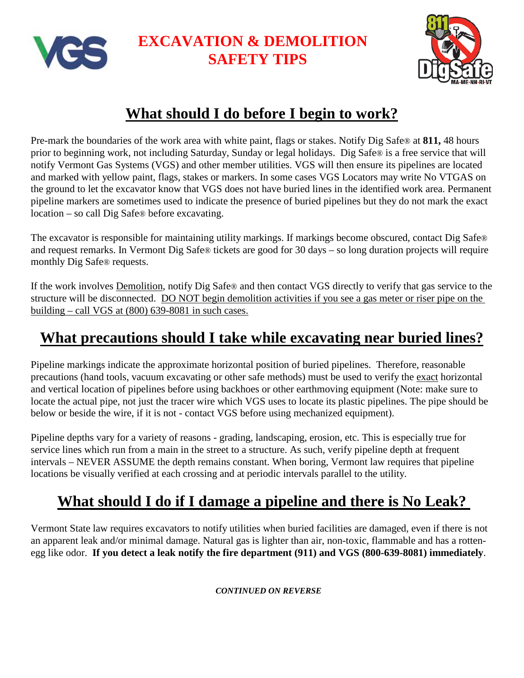

## **EXCAVATION & DEMOLITION SAFETY TIPS**



# **What should I do before I begin to work?**

Pre-mark the boundaries of the work area with white paint, flags or stakes. Notify Dig Safe® at **811,** 48 hours prior to beginning work, not including Saturday, Sunday or legal holidays. Dig Safe® is a free service that will notify Vermont Gas Systems (VGS) and other member utilities. VGS will then ensure its pipelines are located and marked with yellow paint, flags, stakes or markers. In some cases VGS Locators may write No VTGAS on the ground to let the excavator know that VGS does not have buried lines in the identified work area. Permanent pipeline markers are sometimes used to indicate the presence of buried pipelines but they do not mark the exact location – so call Dig Safe® before excavating.

The excavator is responsible for maintaining utility markings. If markings become obscured, contact Dig Safe® and request remarks. In Vermont Dig Safe® tickets are good for 30 days – so long duration projects will require monthly Dig Safe® requests.

If the work involves Demolition, notify Dig Safe® and then contact VGS directly to verify that gas service to the structure will be disconnected. DO NOT begin demolition activities if you see a gas meter or riser pipe on the building – call VGS at (800) 639-8081 in such cases.

### **What precautions should I take while excavating near buried lines?**

Pipeline markings indicate the approximate horizontal position of buried pipelines. Therefore, reasonable precautions (hand tools, vacuum excavating or other safe methods) must be used to verify the exact horizontal and vertical location of pipelines before using backhoes or other earthmoving equipment (Note: make sure to locate the actual pipe, not just the tracer wire which VGS uses to locate its plastic pipelines. The pipe should be below or beside the wire, if it is not - contact VGS before using mechanized equipment).

Pipeline depths vary for a variety of reasons - grading, landscaping, erosion, etc. This is especially true for service lines which run from a main in the street to a structure. As such, verify pipeline depth at frequent intervals – NEVER ASSUME the depth remains constant. When boring, Vermont law requires that pipeline locations be visually verified at each crossing and at periodic intervals parallel to the utility.

### **What should I do if I damage a pipeline and there is No Leak?**

Vermont State law requires excavators to notify utilities when buried facilities are damaged, even if there is not an apparent leak and/or minimal damage. Natural gas is lighter than air, non-toxic, flammable and has a rottenegg like odor. **If you detect a leak notify the fire department (911) and VGS (800-639-8081) immediately**.

*CONTINUED ON REVERSE*